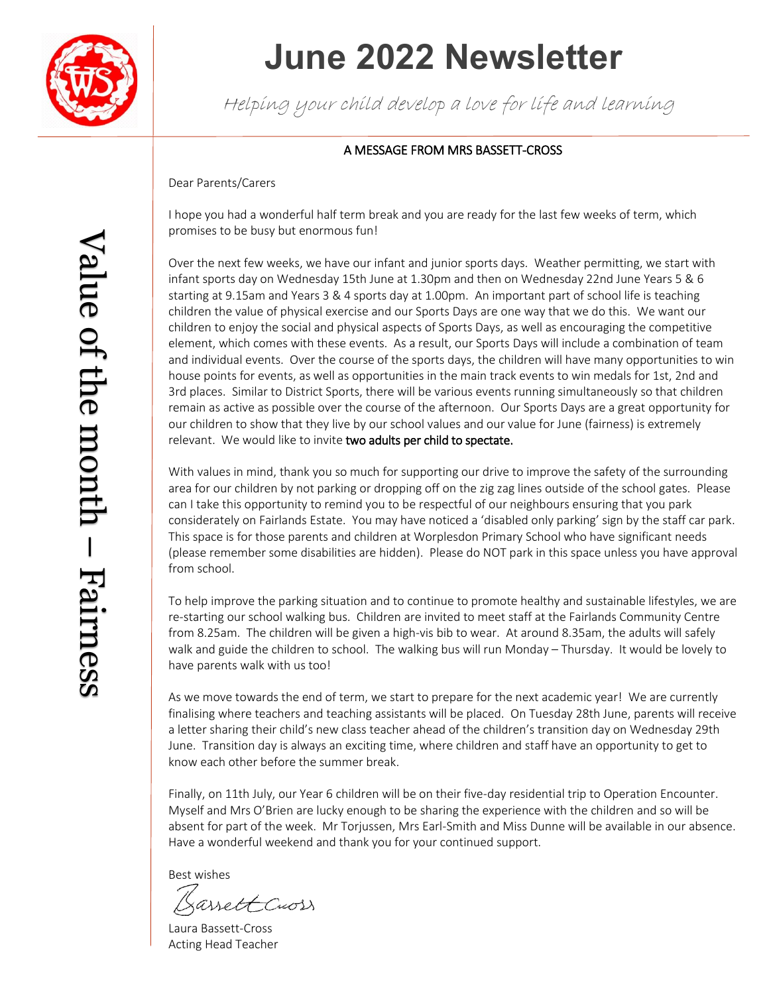

## **June 2022 Newsletter**

Helping your child develop a love for life and learning

### A MESSAGE FROM MRS BASSETT-CROSS

#### Dear Parents/Carers

I hope you had a wonderful half term break and you are ready for the last few weeks of term, which promises to be busy but enormous fun!

Over the next few weeks, we have our infant and junior sports days. Weather permitting, we start with infant sports day on Wednesday 15th June at 1.30pm and then on Wednesday 22nd June Years 5 & 6 starting at 9.15am and Years 3 & 4 sports day at 1.00pm. An important part of school life is teaching children the value of physical exercise and our Sports Days are one way that we do this. We want our children to enjoy the social and physical aspects of Sports Days, as well as encouraging the competitive element, which comes with these events. As a result, our Sports Days will include a combination of team and individual events. Over the course of the sports days, the children will have many opportunities to win house points for events, as well as opportunities in the main track events to win medals for 1st, 2nd and 3rd places. Similar to District Sports, there will be various events running simultaneously so that children remain as active as possible over the course of the afternoon. Our Sports Days are a great opportunity for our children to show that they live by our school values and our value for June (fairness) is extremely relevant. We would like to invite two adults per child to spectate.

With values in mind, thank you so much for supporting our drive to improve the safety of the surrounding area for our children by not parking or dropping off on the zig zag lines outside of the school gates. Please can I take this opportunity to remind you to be respectful of our neighbours ensuring that you park considerately on Fairlands Estate. You may have noticed a 'disabled only parking' sign by the staff car park. This space is for those parents and children at Worplesdon Primary School who have significant needs (please remember some disabilities are hidden). Please do NOT park in this space unless you have approval from school.

To help improve the parking situation and to continue to promote healthy and sustainable lifestyles, we are re-starting our school walking bus. Children are invited to meet staff at the Fairlands Community Centre from 8.25am. The children will be given a high-vis bib to wear. At around 8.35am, the adults will safely walk and guide the children to school. The walking bus will run Monday – Thursday. It would be lovely to have parents walk with us too!

As we move towards the end of term, we start to prepare for the next academic year! We are currently finalising where teachers and teaching assistants will be placed. On Tuesday 28th June, parents will receive a letter sharing their child's new class teacher ahead of the children's transition day on Wednesday 29th June. Transition day is always an exciting time, where children and staff have an opportunity to get to know each other before the summer break.

Finally, on 11th July, our Year 6 children will be on their five-day residential trip to Operation Encounter. Myself and Mrs O'Brien are lucky enough to be sharing the experience with the children and so will be absent for part of the week. Mr Torjussen, Mrs Earl-Smith and Miss Dunne will be available in our absence. Have a wonderful weekend and thank you for your continued support.

Best wishes

assett Cross

Laura Bassett-Cross Acting Head Teacher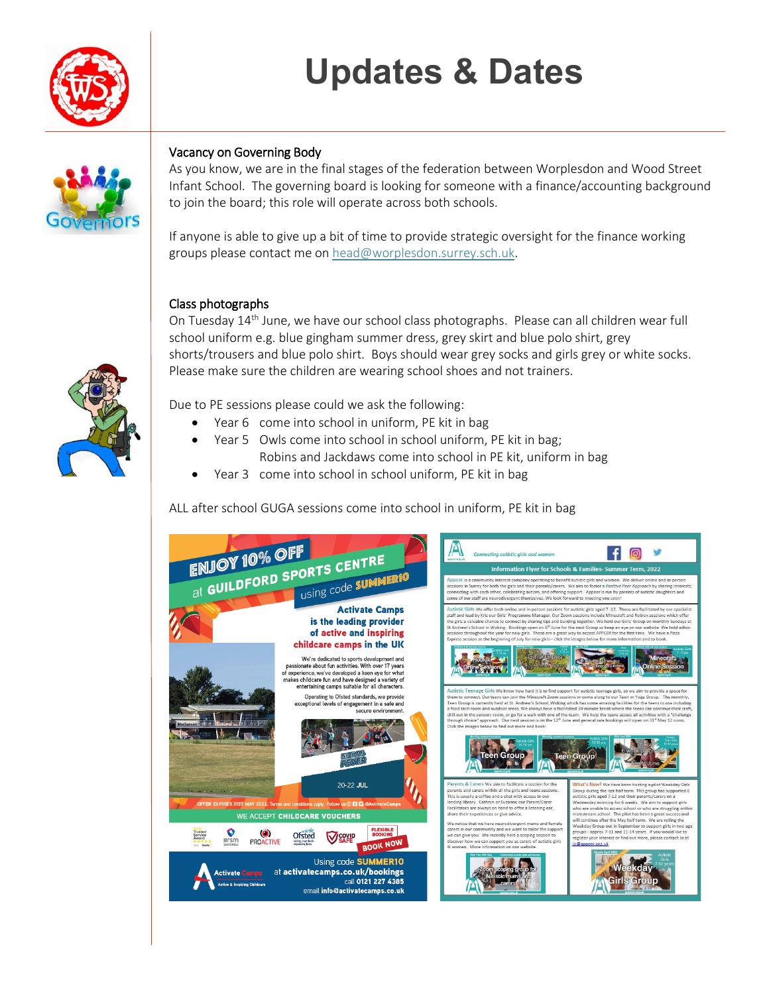# **Updates & Dates**





### Vacancy on Governing Body

As you know, we are in the final stages of the federation between Worplesdon and Wood Street Infant School. The governing board is looking for someone with a finance/accounting background to join the board; this role will operate across both schools.

If anyone is able to give up a bit of time to provide strategic oversight for the finance working groups please contact me o[n head@worplesdon.surrey.sch.uk.](mailto:head@worplesdon.surrey.sch.uk)

### Class photographs

On Tuesday  $14<sup>th</sup>$  June, we have our school class photographs. Please can all children wear full school uniform e.g. blue gingham summer dress, grey skirt and blue polo shirt, grey shorts/trousers and blue polo shirt. Boys should wear grey socks and girls grey or white socks. Please make sure the children are wearing school shoes and not trainers.

Due to PE sessions please could we ask the following:

- Year 6 come into school in uniform, PE kit in bag
- Year 5 Owls come into school in school uniform, PE kit in bag; Robins and Jackdaws come into school in PE kit, uniform in bag
- Year 3 come into school in school uniform, PE kit in bag

ALL after school GUGA sessions come into school in uniform, PE kit in bag